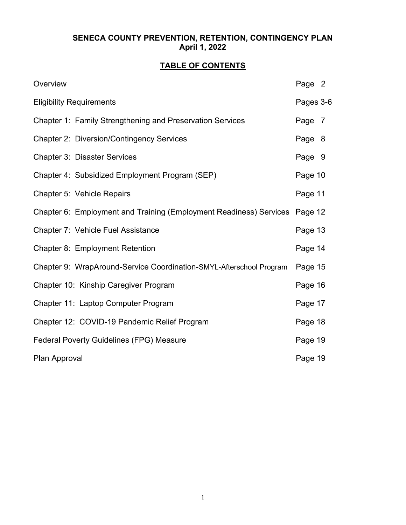## SENECA COUNTY PREVENTION, RETENTION, CONTINGENCY PLAN April 1, 2022

# TABLE OF CONTENTS

| Overview                                                            | Page 2    |
|---------------------------------------------------------------------|-----------|
| <b>Eligibility Requirements</b>                                     | Pages 3-6 |
| Chapter 1: Family Strengthening and Preservation Services           | Page 7    |
| <b>Chapter 2: Diversion/Contingency Services</b>                    | Page 8    |
| <b>Chapter 3: Disaster Services</b>                                 | Page 9    |
| Chapter 4: Subsidized Employment Program (SEP)                      | Page 10   |
| Chapter 5: Vehicle Repairs                                          | Page 11   |
| Chapter 6: Employment and Training (Employment Readiness) Services  | Page 12   |
| Chapter 7: Vehicle Fuel Assistance                                  | Page 13   |
| Chapter 8: Employment Retention                                     | Page 14   |
| Chapter 9: WrapAround-Service Coordination-SMYL-Afterschool Program | Page 15   |
| Chapter 10: Kinship Caregiver Program                               | Page 16   |
| Chapter 11: Laptop Computer Program                                 | Page 17   |
| Chapter 12: COVID-19 Pandemic Relief Program                        | Page 18   |
| <b>Federal Poverty Guidelines (FPG) Measure</b>                     | Page 19   |
| Plan Approval                                                       | Page 19   |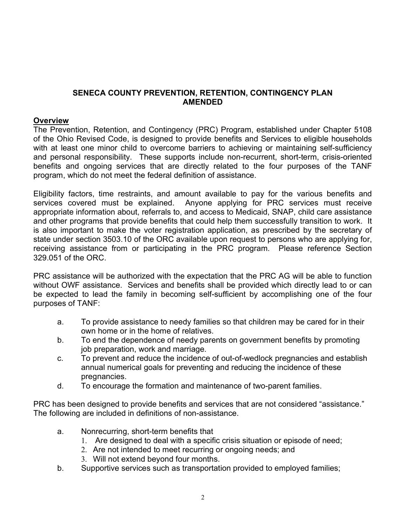### SENECA COUNTY PREVENTION, RETENTION, CONTINGENCY PLAN AMENDED

### **Overview**

The Prevention, Retention, and Contingency (PRC) Program, established under Chapter 5108 of the Ohio Revised Code, is designed to provide benefits and Services to eligible households with at least one minor child to overcome barriers to achieving or maintaining self-sufficiency and personal responsibility. These supports include non-recurrent, short-term, crisis-oriented benefits and ongoing services that are directly related to the four purposes of the TANF program, which do not meet the federal definition of assistance.

Eligibility factors, time restraints, and amount available to pay for the various benefits and services covered must be explained. Anyone applying for PRC services must receive appropriate information about, referrals to, and access to Medicaid, SNAP, child care assistance and other programs that provide benefits that could help them successfully transition to work. It is also important to make the voter registration application, as prescribed by the secretary of state under section 3503.10 of the ORC available upon request to persons who are applying for, receiving assistance from or participating in the PRC program. Please reference Section 329.051 of the ORC.

PRC assistance will be authorized with the expectation that the PRC AG will be able to function without OWF assistance. Services and benefits shall be provided which directly lead to or can be expected to lead the family in becoming self-sufficient by accomplishing one of the four purposes of TANF:

- a. To provide assistance to needy families so that children may be cared for in their own home or in the home of relatives.
- b. To end the dependence of needy parents on government benefits by promoting job preparation, work and marriage.
- c. To prevent and reduce the incidence of out-of-wedlock pregnancies and establish annual numerical goals for preventing and reducing the incidence of these pregnancies.
- d. To encourage the formation and maintenance of two-parent families.

PRC has been designed to provide benefits and services that are not considered "assistance." The following are included in definitions of non-assistance.

- a. Nonrecurring, short-term benefits that
	- 1. Are designed to deal with a specific crisis situation or episode of need;
	- 2. Are not intended to meet recurring or ongoing needs; and
	- 3. Will not extend beyond four months.
- b. Supportive services such as transportation provided to employed families;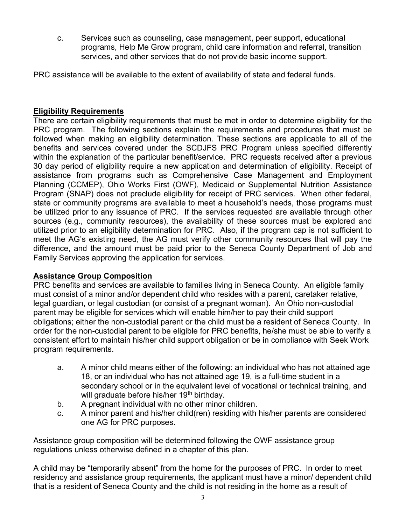c. Services such as counseling, case management, peer support, educational programs, Help Me Grow program, child care information and referral, transition services, and other services that do not provide basic income support.

PRC assistance will be available to the extent of availability of state and federal funds.

## Eligibility Requirements

There are certain eligibility requirements that must be met in order to determine eligibility for the PRC program. The following sections explain the requirements and procedures that must be followed when making an eligibility determination. These sections are applicable to all of the benefits and services covered under the SCDJFS PRC Program unless specified differently within the explanation of the particular benefit/service. PRC requests received after a previous 30 day period of eligibility require a new application and determination of eligibility. Receipt of assistance from programs such as Comprehensive Case Management and Employment Planning (CCMEP), Ohio Works First (OWF), Medicaid or Supplemental Nutrition Assistance Program (SNAP) does not preclude eligibility for receipt of PRC services. When other federal, state or community programs are available to meet a household's needs, those programs must be utilized prior to any issuance of PRC. If the services requested are available through other sources (e.g., community resources), the availability of these sources must be explored and utilized prior to an eligibility determination for PRC. Also, if the program cap is not sufficient to meet the AG's existing need, the AG must verify other community resources that will pay the difference, and the amount must be paid prior to the Seneca County Department of Job and Family Services approving the application for services.

## Assistance Group Composition

PRC benefits and services are available to families living in Seneca County. An eligible family must consist of a minor and/or dependent child who resides with a parent, caretaker relative, legal guardian, or legal custodian (or consist of a pregnant woman). An Ohio non-custodial parent may be eligible for services which will enable him/her to pay their child support obligations; either the non-custodial parent or the child must be a resident of Seneca County. In order for the non-custodial parent to be eligible for PRC benefits, he/she must be able to verify a consistent effort to maintain his/her child support obligation or be in compliance with Seek Work program requirements.

- a. A minor child means either of the following: an individual who has not attained age 18, or an individual who has not attained age 19, is a full-time student in a secondary school or in the equivalent level of vocational or technical training, and will graduate before his/her 19<sup>th</sup> birthday.
- b. A pregnant individual with no other minor children.
- c. A minor parent and his/her child(ren) residing with his/her parents are considered one AG for PRC purposes.

Assistance group composition will be determined following the OWF assistance group regulations unless otherwise defined in a chapter of this plan.

A child may be "temporarily absent" from the home for the purposes of PRC. In order to meet residency and assistance group requirements, the applicant must have a minor/ dependent child that is a resident of Seneca County and the child is not residing in the home as a result of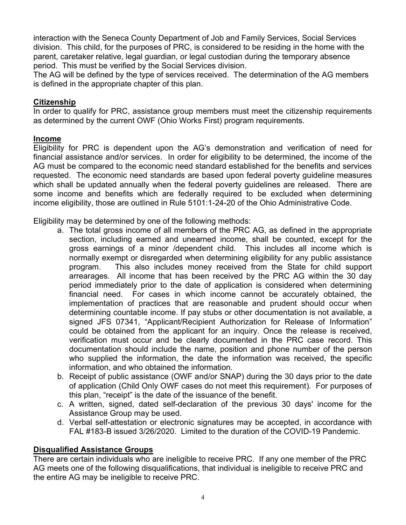interaction with the Seneca County Department of Job and Family Services, Social Services division. This child, for the purposes of PRC, is considered to be residing in the home with the parent, caretaker relative, legal guardian, or legal custodian during the temporary absence period. This must be verified by the Social Services division.

The AG will be defined by the type of services received. The determination of the AG members is defined in the appropriate chapter of this plan.

## **Citizenship**

In order to qualify for PRC, assistance group members must meet the citizenship requirements as determined by the current OWF (Ohio Works First) program requirements.

## Income

Eligibility for PRC is dependent upon the AG's demonstration and verification of need for financial assistance and/or services. In order for eligibility to be determined, the income of the AG must be compared to the economic need standard established for the benefits and services requested. The economic need standards are based upon federal poverty guideline measures which shall be updated annually when the federal poverty guidelines are released. There are some income and benefits which are federally required to be excluded when determining income eligibility, those are outlined in Rule 5101:1-24-20 of the Ohio Administrative Code.

Eligibility may be determined by one of the following methods:

- a. The total gross income of all members of the PRC AG, as defined in the appropriate section, including earned and unearned income, shall be counted, except for the gross earnings of a minor /dependent child. This includes all income which is normally exempt or disregarded when determining eligibility for any public assistance program. This also includes money received from the State for child support arrearages. All income that has been received by the PRC AG within the 30 day period immediately prior to the date of application is considered when determining financial need. For cases in which income cannot be accurately obtained, the implementation of practices that are reasonable and prudent should occur when determining countable income. If pay stubs or other documentation is not available, a signed JFS 07341, "Applicant/Recipient Authorization for Release of Information" could be obtained from the applicant for an inquiry. Once the release is received, verification must occur and be clearly documented in the PRC case record. This documentation should include the name, position and phone number of the person who supplied the information, the date the information was received, the specific information, and who obtained the information.
- b. Receipt of public assistance (OWF and/or SNAP) during the 30 days prior to the date of application (Child Only OWF cases do not meet this requirement). For purposes of this plan, "receipt" is the date of the issuance of the benefit.
- c. A written, signed, dated self-declaration of the previous 30 days' income for the Assistance Group may be used.
- d. Verbal self-attestation or electronic signatures may be accepted, in accordance with FAL #183-B issued 3/26/2020. Limited to the duration of the COVID-19 Pandemic.

## Disqualified Assistance Groups

There are certain individuals who are ineligible to receive PRC. If any one member of the PRC AG meets one of the following disqualifications, that individual is ineligible to receive PRC and the entire AG may be ineligible to receive PRC.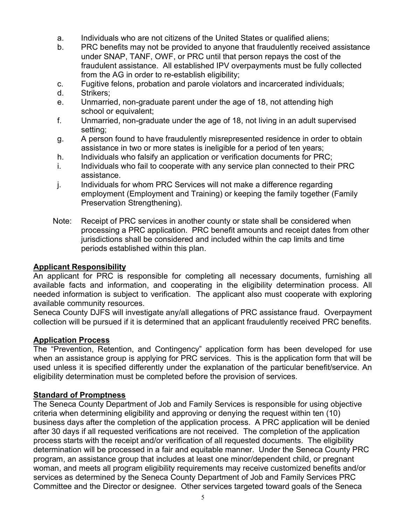- a. Individuals who are not citizens of the United States or qualified aliens;
- b. PRC benefits may not be provided to anyone that fraudulently received assistance under SNAP, TANF, OWF, or PRC until that person repays the cost of the fraudulent assistance. All established IPV overpayments must be fully collected from the AG in order to re-establish eligibility;
- c. Fugitive felons, probation and parole violators and incarcerated individuals;
- d. Strikers;
- e. Unmarried, non-graduate parent under the age of 18, not attending high school or equivalent;
- f. Unmarried, non-graduate under the age of 18, not living in an adult supervised setting;
- g. A person found to have fraudulently misrepresented residence in order to obtain assistance in two or more states is ineligible for a period of ten years;
- h. Individuals who falsify an application or verification documents for PRC;
- i. Individuals who fail to cooperate with any service plan connected to their PRC assistance.
- j. Individuals for whom PRC Services will not make a difference regarding employment (Employment and Training) or keeping the family together (Family Preservation Strengthening).
- Note: Receipt of PRC services in another county or state shall be considered when processing a PRC application. PRC benefit amounts and receipt dates from other jurisdictions shall be considered and included within the cap limits and time periods established within this plan.

### Applicant Responsibility

An applicant for PRC is responsible for completing all necessary documents, furnishing all available facts and information, and cooperating in the eligibility determination process. All needed information is subject to verification. The applicant also must cooperate with exploring available community resources.

Seneca County DJFS will investigate any/all allegations of PRC assistance fraud. Overpayment collection will be pursued if it is determined that an applicant fraudulently received PRC benefits.

### Application Process

The "Prevention, Retention, and Contingency" application form has been developed for use when an assistance group is applying for PRC services. This is the application form that will be used unless it is specified differently under the explanation of the particular benefit/service. An eligibility determination must be completed before the provision of services.

### Standard of Promptness

The Seneca County Department of Job and Family Services is responsible for using objective criteria when determining eligibility and approving or denying the request within ten (10) business days after the completion of the application process. A PRC application will be denied after 30 days if all requested verifications are not received. The completion of the application process starts with the receipt and/or verification of all requested documents. The eligibility determination will be processed in a fair and equitable manner. Under the Seneca County PRC program, an assistance group that includes at least one minor/dependent child, or pregnant woman, and meets all program eligibility requirements may receive customized benefits and/or services as determined by the Seneca County Department of Job and Family Services PRC Committee and the Director or designee. Other services targeted toward goals of the Seneca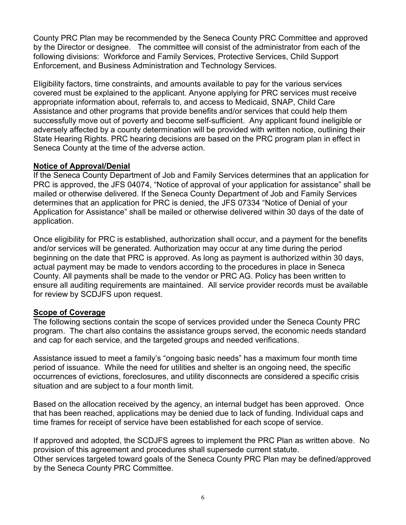County PRC Plan may be recommended by the Seneca County PRC Committee and approved by the Director or designee. The committee will consist of the administrator from each of the following divisions: Workforce and Family Services, Protective Services, Child Support Enforcement, and Business Administration and Technology Services.

Eligibility factors, time constraints, and amounts available to pay for the various services covered must be explained to the applicant. Anyone applying for PRC services must receive appropriate information about, referrals to, and access to Medicaid, SNAP, Child Care Assistance and other programs that provide benefits and/or services that could help them successfully move out of poverty and become self-sufficient. Any applicant found ineligible or adversely affected by a county determination will be provided with written notice, outlining their State Hearing Rights. PRC hearing decisions are based on the PRC program plan in effect in Seneca County at the time of the adverse action.

### Notice of Approval/Denial

If the Seneca County Department of Job and Family Services determines that an application for PRC is approved, the JFS 04074, "Notice of approval of your application for assistance" shall be mailed or otherwise delivered. If the Seneca County Department of Job and Family Services determines that an application for PRC is denied, the JFS 07334 "Notice of Denial of your Application for Assistance" shall be mailed or otherwise delivered within 30 days of the date of application.

Once eligibility for PRC is established, authorization shall occur, and a payment for the benefits and/or services will be generated. Authorization may occur at any time during the period beginning on the date that PRC is approved. As long as payment is authorized within 30 days, actual payment may be made to vendors according to the procedures in place in Seneca County. All payments shall be made to the vendor or PRC AG. Policy has been written to ensure all auditing requirements are maintained. All service provider records must be available for review by SCDJFS upon request.

## Scope of Coverage

The following sections contain the scope of services provided under the Seneca County PRC program. The chart also contains the assistance groups served, the economic needs standard and cap for each service, and the targeted groups and needed verifications.

Assistance issued to meet a family's "ongoing basic needs" has a maximum four month time period of issuance. While the need for utilities and shelter is an ongoing need, the specific occurrences of evictions, foreclosures, and utility disconnects are considered a specific crisis situation and are subject to a four month limit.

Based on the allocation received by the agency, an internal budget has been approved. Once that has been reached, applications may be denied due to lack of funding. Individual caps and time frames for receipt of service have been established for each scope of service.

If approved and adopted, the SCDJFS agrees to implement the PRC Plan as written above. No provision of this agreement and procedures shall supersede current statute. Other services targeted toward goals of the Seneca County PRC Plan may be defined/approved by the Seneca County PRC Committee.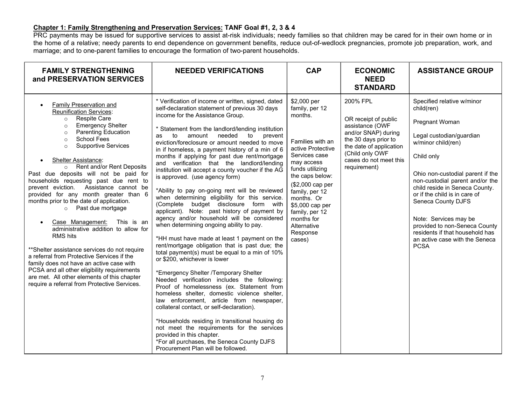### Chapter 1: Family Strengthening and Preservation Services: TANF Goal #1, 2, 3 & 4

PRC payments may be issued for supportive services to assist at-risk individuals; needy families so that children may be cared for in their own home or in the home of a relative; needy parents to end dependence on government benefits, reduce out-of-wedlock pregnancies, promote job preparation, work, and marriage; and to one-parent families to encourage the formation of two-parent households.

| <b>FAMILY STRENGTHENING</b><br>and PRESERVATION SERVICES                                                                                                                                                                                                                                                                                                                                                                                                                                                                                                                                                                                                                                                                                                                                                                                                                                                                                                                     | <b>NEEDED VERIFICATIONS</b>                                                                                                                                                                                                                                                                                                                                                                                                                                                                                                                                                                                                                                                                                                                                                                                                                                                                                                                                                                                                                                                                                                                                                                                                                                                                                                                                                                                                                                                                                             | <b>CAP</b>                                                                                                                                                                                                                                                                                         | <b>ECONOMIC</b><br><b>NEED</b><br><b>STANDARD</b>                                                                                                                                          | <b>ASSISTANCE GROUP</b>                                                                                                                                                                                                                                                                                                                                                                                                                  |
|------------------------------------------------------------------------------------------------------------------------------------------------------------------------------------------------------------------------------------------------------------------------------------------------------------------------------------------------------------------------------------------------------------------------------------------------------------------------------------------------------------------------------------------------------------------------------------------------------------------------------------------------------------------------------------------------------------------------------------------------------------------------------------------------------------------------------------------------------------------------------------------------------------------------------------------------------------------------------|-------------------------------------------------------------------------------------------------------------------------------------------------------------------------------------------------------------------------------------------------------------------------------------------------------------------------------------------------------------------------------------------------------------------------------------------------------------------------------------------------------------------------------------------------------------------------------------------------------------------------------------------------------------------------------------------------------------------------------------------------------------------------------------------------------------------------------------------------------------------------------------------------------------------------------------------------------------------------------------------------------------------------------------------------------------------------------------------------------------------------------------------------------------------------------------------------------------------------------------------------------------------------------------------------------------------------------------------------------------------------------------------------------------------------------------------------------------------------------------------------------------------------|----------------------------------------------------------------------------------------------------------------------------------------------------------------------------------------------------------------------------------------------------------------------------------------------------|--------------------------------------------------------------------------------------------------------------------------------------------------------------------------------------------|------------------------------------------------------------------------------------------------------------------------------------------------------------------------------------------------------------------------------------------------------------------------------------------------------------------------------------------------------------------------------------------------------------------------------------------|
| Family Preservation and<br>$\bullet$<br><b>Reunification Services:</b><br><b>Respite Care</b><br>$\circ$<br><b>Emergency Shelter</b><br>$\circ$<br><b>Parenting Education</b><br>$\circ$<br><b>School Fees</b><br>$\circ$<br><b>Supportive Services</b><br>$\circ$<br><b>Shelter Assistance:</b><br>o Rent and/or Rent Deposits<br>Past due deposits will not be paid for<br>households requesting past due rent to<br>prevent eviction. Assistance cannot be<br>provided for any month greater than 6<br>months prior to the date of application.<br>o Past due mortgage<br>This is an<br>Case Management:<br>$\bullet$<br>administrative addition to allow for<br><b>RMS</b> hits<br>** Shelter assistance services do not require<br>a referral from Protective Services if the<br>family does not have an active case with<br>PCSA and all other eligibility requirements<br>are met. All other elements of this chapter<br>require a referral from Protective Services. | * Verification of income or written, signed, dated<br>self-declaration statement of previous 30 days<br>income for the Assistance Group.<br>* Statement from the landlord/lending institution<br>to<br>amount<br>needed<br>to<br>prevent<br>as<br>eviction/foreclosure or amount needed to move<br>in if homeless, a payment history of a min of 6<br>months if applying for past due rent/mortgage<br>and verification that the landlord/lending<br>institution will accept a county voucher if the AG<br>is approved. (use agency form)<br>*Ability to pay on-going rent will be reviewed<br>when determining eligibility for this service.<br>budget disclosure form with<br>(Complete<br>applicant). Note: past history of payment by<br>agency and/or household will be considered<br>when determining ongoing ability to pay.<br>*HH must have made at least 1 payment on the<br>rent/mortgage obligation that is past due; the<br>total payment(s) must be equal to a min of 10%<br>or \$200, whichever is lower<br>*Emergency Shelter /Temporary Shelter<br>Needed verification includes the following:<br>Proof of homelessness (ex. Statement from<br>homeless shelter, domestic violence shelter,<br>law enforcement, article from newspaper,<br>collateral contact, or self-declaration).<br>*Households residing in transitional housing do<br>not meet the requirements for the services<br>provided in this chapter.<br>*For all purchases, the Seneca County DJFS<br>Procurement Plan will be followed. | \$2,000 per<br>family, per 12<br>months.<br>Families with an<br>active Protective<br>Services case<br>may access<br>funds utilizing<br>the caps below:<br>(\$2,000 cap per<br>family, per 12<br>months. Or<br>\$5,000 cap per<br>family, per 12<br>months for<br>Alternative<br>Response<br>cases) | 200% FPL<br>OR receipt of public<br>assistance (OWF<br>and/or SNAP) during<br>the 30 days prior to<br>the date of application<br>(Child only OWF<br>cases do not meet this<br>requirement) | Specified relative w/minor<br>child(ren)<br>Pregnant Woman<br>Legal custodian/guardian<br>w/minor child(ren)<br>Child only<br>Ohio non-custodial parent if the<br>non-custodial parent and/or the<br>child reside in Seneca County.<br>or if the child is in care of<br>Seneca County DJFS<br>Note: Services may be<br>provided to non-Seneca County<br>residents if that household has<br>an active case with the Seneca<br><b>PCSA</b> |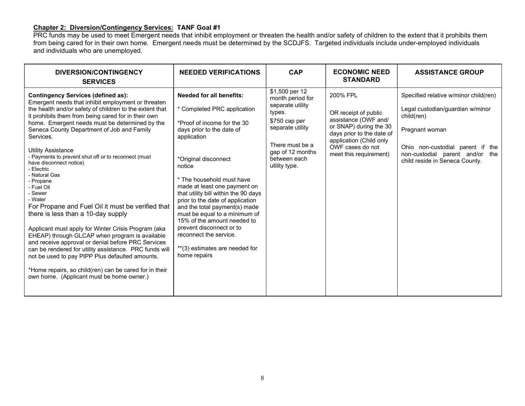### Chapter 2: Diversion/Contingency Services: TANF Goal #1

PRC funds may be used to meet Emergent needs that inhibit employment or threaten the health and/or safety of children to the extent that it prohibits them from being cared for in their own home. Emergent needs must be determined by the SCDJFS. Targeted individuals include under-employed individuals and individuals who are unemployed.

| <b>NEEDED VERIFICATIONS</b><br>DIVERSION/CONTINGENCY<br><b>SERVICES</b>                                                                                                                                                                                                                                                                                                                                                                                                                                                                                                                                                                                                                                                                                                                                                                                                                                                                                                                                                                                                                                                                                                                                                                                                                                                                                                                                                                                                                                                                       | <b>CAP</b>                                                                                                                                                                    | <b>ECONOMIC NEED</b><br><b>STANDARD</b>                                                                                                                                                  | <b>ASSISTANCE GROUP</b>                                                                                                                                                                                            |
|-----------------------------------------------------------------------------------------------------------------------------------------------------------------------------------------------------------------------------------------------------------------------------------------------------------------------------------------------------------------------------------------------------------------------------------------------------------------------------------------------------------------------------------------------------------------------------------------------------------------------------------------------------------------------------------------------------------------------------------------------------------------------------------------------------------------------------------------------------------------------------------------------------------------------------------------------------------------------------------------------------------------------------------------------------------------------------------------------------------------------------------------------------------------------------------------------------------------------------------------------------------------------------------------------------------------------------------------------------------------------------------------------------------------------------------------------------------------------------------------------------------------------------------------------|-------------------------------------------------------------------------------------------------------------------------------------------------------------------------------|------------------------------------------------------------------------------------------------------------------------------------------------------------------------------------------|--------------------------------------------------------------------------------------------------------------------------------------------------------------------------------------------------------------------|
| <b>Needed for all benefits:</b><br><b>Contingency Services (defined as):</b><br>Emergent needs that inhibit employment or threaten<br>the health and/or safety of children to the extent that<br>* Completed PRC application<br>it prohibits them from being cared for in their own<br>home. Emergent needs must be determined by the<br>*Proof of income for the 30<br>Seneca County Department of Job and Family<br>days prior to the date of<br>Services.<br>application<br><b>Utility Assistance</b><br>- Payments to prevent shut off or to reconnect (must<br>*Original disconnect<br>have disconnect notice)<br>notice<br>- Electric<br>- Natural Gas<br>* The household must have<br>- Propane<br>made at least one payment on<br>- Fuel Oil<br>that utility bill within the 90 days<br>- Sewer<br>- Water<br>prior to the date of application<br>For Propane and Fuel Oil it must be verified that<br>and the total payment(s) made<br>there is less than a 10-day supply<br>must be equal to a minimum of<br>15% of the amount needed to<br>prevent disconnect or to<br>Applicant must apply for Winter Crisis Program (aka<br>reconnect the service.<br>EHEAP) through GLCAP when program is available<br>and receive approval or denial before PRC Services<br>**(3) estimates are needed for<br>can be rendered for utility assistance. PRC funds will<br>home repairs<br>not be used to pay PIPP Plus defaulted amounts.<br>*Home repairs, so child(ren) can be cared for in their<br>own home. (Applicant must be home owner.) | \$1,500 per 12<br>month period for<br>separate utility<br>types.<br>\$750 cap per<br>separate utility<br>There must be a<br>gap of 12 months<br>between each<br>utility type. | 200% FPL<br>OR receipt of public<br>assistance (OWF and/<br>or SNAP) during the 30<br>days prior to the date of<br>application (Child only<br>OWF cases do not<br>meet this requirement) | Specified relative w/minor child(ren)<br>Legal custodian/guardian w/minor<br>child(ren)<br>Pregnant woman<br>Ohio non-custodial parent if the<br>non-custodial parent and/or the<br>child reside in Seneca County. |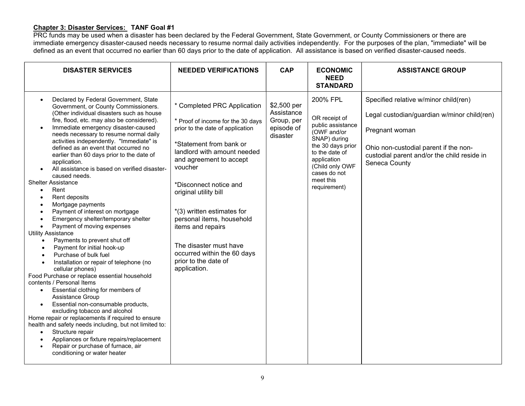#### Chapter 3: Disaster Services: TANF Goal #1

PRC funds may be used when a disaster has been declared by the Federal Government, State Government, or County Commissioners or there are immediate emergency disaster-caused needs necessary to resume normal daily activities independently. For the purposes of the plan, "immediate" will be defined as an event that occurred no earlier than 60 days prior to the date of application. All assistance is based on verified disaster-caused needs.

| <b>DISASTER SERVICES</b>                                                                                                                                                                                                                                                                                                                                                                                                                                                                                                                                                                                                                                                                                                                                                                                                                                                                                                                                                                                                                                                                                                                                                                                                                                                                                                                                                                                                                                                                                            | <b>NEEDED VERIFICATIONS</b>                                                                                                                                                                                                                                                                                                                                                                                                              | <b>CAP</b>                                                        | <b>ECONOMIC</b><br><b>NEED</b><br><b>STANDARD</b>                                                                                                                                                   | <b>ASSISTANCE GROUP</b>                                                                                                                                                                                         |
|---------------------------------------------------------------------------------------------------------------------------------------------------------------------------------------------------------------------------------------------------------------------------------------------------------------------------------------------------------------------------------------------------------------------------------------------------------------------------------------------------------------------------------------------------------------------------------------------------------------------------------------------------------------------------------------------------------------------------------------------------------------------------------------------------------------------------------------------------------------------------------------------------------------------------------------------------------------------------------------------------------------------------------------------------------------------------------------------------------------------------------------------------------------------------------------------------------------------------------------------------------------------------------------------------------------------------------------------------------------------------------------------------------------------------------------------------------------------------------------------------------------------|------------------------------------------------------------------------------------------------------------------------------------------------------------------------------------------------------------------------------------------------------------------------------------------------------------------------------------------------------------------------------------------------------------------------------------------|-------------------------------------------------------------------|-----------------------------------------------------------------------------------------------------------------------------------------------------------------------------------------------------|-----------------------------------------------------------------------------------------------------------------------------------------------------------------------------------------------------------------|
| Declared by Federal Government, State<br>$\bullet$<br>Government, or County Commissioners.<br>(Other individual disasters such as house<br>fire, flood, etc. may also be considered).<br>Immediate emergency disaster-caused<br>$\bullet$<br>needs necessary to resume normal daily<br>activities independently. "Immediate" is<br>defined as an event that occurred no<br>earlier than 60 days prior to the date of<br>application.<br>All assistance is based on verified disaster-<br>$\bullet$<br>caused needs.<br><b>Shelter Assistance</b><br>Rent<br>$\bullet$<br>Rent deposits<br>$\bullet$<br>Mortgage payments<br>$\bullet$<br>Payment of interest on mortgage<br>$\bullet$<br>Emergency shelter/temporary shelter<br>$\bullet$<br>Payment of moving expenses<br>$\bullet$<br><b>Utility Assistance</b><br>Payments to prevent shut off<br>Payment for initial hook-up<br>Purchase of bulk fuel<br>Installation or repair of telephone (no<br>cellular phones)<br>Food Purchase or replace essential household<br>contents / Personal Items<br>Essential clothing for members of<br>$\bullet$<br><b>Assistance Group</b><br>Essential non-consumable products,<br>$\bullet$<br>excluding tobacco and alcohol<br>Home repair or replacements if required to ensure<br>health and safety needs including, but not limited to:<br>Structure repair<br>$\bullet$<br>Appliances or fixture repairs/replacement<br>$\bullet$<br>Repair or purchase of furnace, air<br>$\bullet$<br>conditioning or water heater | * Completed PRC Application<br>* Proof of income for the 30 days<br>prior to the date of application<br>*Statement from bank or<br>landlord with amount needed<br>and agreement to accept<br>voucher<br>*Disconnect notice and<br>original utility bill<br>*(3) written estimates for<br>personal items, household<br>items and repairs<br>The disaster must have<br>occurred within the 60 days<br>prior to the date of<br>application. | \$2,500 per<br>Assistance<br>Group, per<br>episode of<br>disaster | 200% FPL<br>OR receipt of<br>public assistance<br>(OWF and/or<br>SNAP) during<br>the 30 days prior<br>to the date of<br>application<br>(Child only OWF<br>cases do not<br>meet this<br>requirement) | Specified relative w/minor child(ren)<br>Legal custodian/guardian w/minor child(ren)<br>Pregnant woman<br>Ohio non-custodial parent if the non-<br>custodial parent and/or the child reside in<br>Seneca County |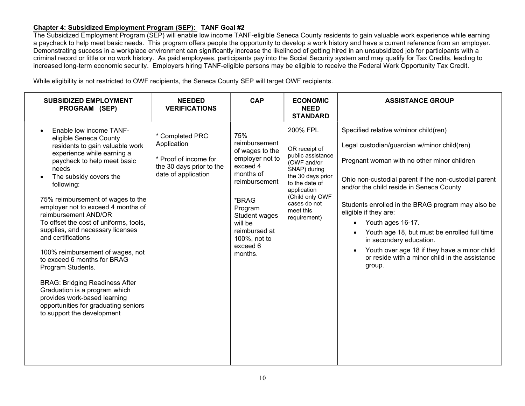#### Chapter 4: Subsidized Employment Program (SEP): TANF Goal #2

The Subsidized Employment Program (SEP) will enable low income TANF-eligible Seneca County residents to gain valuable work experience while earning a paycheck to help meet basic needs. This program offers people the opportunity to develop a work history and have a current reference from an employer. Demonstrating success in a workplace environment can significantly increase the likelihood of getting hired in an unsubsidized job for participants with a criminal record or little or no work history. As paid employees, participants pay into the Social Security system and may qualify for Tax Credits, leading to increased long-term economic security. Employers hiring TANF-eligible persons may be eligible to receive the Federal Work Opportunity Tax Credit.

While eligibility is not restricted to OWF recipients, the Seneca County SEP will target OWF recipients.

| <b>SUBSIDIZED EMPLOYMENT</b><br>PROGRAM (SEP)                                                                                                                                                                                                                                                                                                                                                                                                                                                                                                                                                                                                                                     | <b>NEEDED</b><br><b>VERIFICATIONS</b>                                                                      | <b>CAP</b>                                                                                                                                                                                                   | <b>ECONOMIC</b><br><b>NEED</b><br><b>STANDARD</b>                                                                                                                                                   | <b>ASSISTANCE GROUP</b>                                                                                                                                                                                                                                                                                                                                                                                                                                                                                                            |
|-----------------------------------------------------------------------------------------------------------------------------------------------------------------------------------------------------------------------------------------------------------------------------------------------------------------------------------------------------------------------------------------------------------------------------------------------------------------------------------------------------------------------------------------------------------------------------------------------------------------------------------------------------------------------------------|------------------------------------------------------------------------------------------------------------|--------------------------------------------------------------------------------------------------------------------------------------------------------------------------------------------------------------|-----------------------------------------------------------------------------------------------------------------------------------------------------------------------------------------------------|------------------------------------------------------------------------------------------------------------------------------------------------------------------------------------------------------------------------------------------------------------------------------------------------------------------------------------------------------------------------------------------------------------------------------------------------------------------------------------------------------------------------------------|
| Enable low income TANF-<br>eligible Seneca County<br>residents to gain valuable work<br>experience while earning a<br>paycheck to help meet basic<br>needs<br>The subsidy covers the<br>following:<br>75% reimbursement of wages to the<br>employer not to exceed 4 months of<br>reimbursement AND/OR<br>To offset the cost of uniforms, tools,<br>supplies, and necessary licenses<br>and certifications<br>100% reimbursement of wages, not<br>to exceed 6 months for BRAG<br>Program Students.<br><b>BRAG: Bridging Readiness After</b><br>Graduation is a program which<br>provides work-based learning<br>opportunities for graduating seniors<br>to support the development | * Completed PRC<br>Application<br>* Proof of income for<br>the 30 days prior to the<br>date of application | 75%<br>reimbursement<br>of wages to the<br>employer not to<br>exceed 4<br>months of<br>reimbursement<br>*BRAG<br>Program<br>Student wages<br>will be<br>reimbursed at<br>100%, not to<br>exceed 6<br>months. | 200% FPL<br>OR receipt of<br>public assistance<br>(OWF and/or<br>SNAP) during<br>the 30 days prior<br>to the date of<br>application<br>(Child only OWF<br>cases do not<br>meet this<br>requirement) | Specified relative w/minor child(ren)<br>Legal custodian/guardian w/minor child(ren)<br>Pregnant woman with no other minor children<br>Ohio non-custodial parent if the non-custodial parent<br>and/or the child reside in Seneca County<br>Students enrolled in the BRAG program may also be<br>eligible if they are:<br>Youth ages 16-17.<br>Youth age 18, but must be enrolled full time<br>in secondary education.<br>Youth over age 18 if they have a minor child<br>or reside with a minor child in the assistance<br>group. |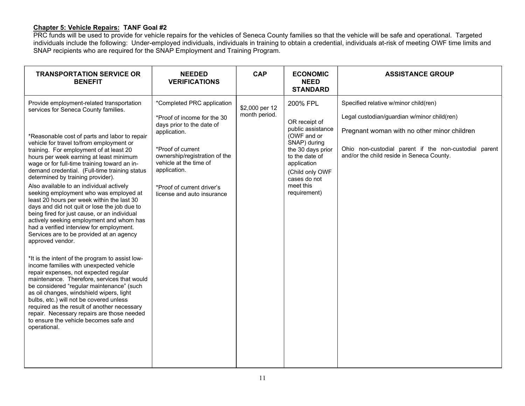#### Chapter 5: Vehicle Repairs: TANF Goal #2

PRC funds will be used to provide for vehicle repairs for the vehicles of Seneca County families so that the vehicle will be safe and operational. Targeted individuals include the following: Under-employed individuals, individuals in training to obtain a credential, individuals at-risk of meeting OWF time limits and SNAP recipients who are required for the SNAP Employment and Training Program.

| *Completed PRC application<br>Specified relative w/minor child(ren)<br>Provide employment-related transportation<br>200% FPL<br>\$2,000 per 12<br>services for Seneca County families.<br>month period.<br>Legal custodian/guardian w/minor child(ren)<br>*Proof of income for the 30<br>OR receipt of<br>days prior to the date of<br>public assistance<br>Pregnant woman with no other minor children<br>application.<br>(OWF and or<br>*Reasonable cost of parts and labor to repair<br>SNAP) during<br>vehicle for travel to/from employment or<br>Ohio non-custodial parent if the non-custodial parent<br>*Proof of current<br>the 30 days prior<br>training. For employment of at least 20<br>and/or the child reside in Seneca County.<br>ownership/registration of the<br>hours per week earning at least minimum<br>to the date of<br>vehicle at the time of<br>application<br>wage or for full-time training toward an in-<br>demand credential. (Full-time training status<br>application.<br>(Child only OWF<br>determined by training provider).<br>cases do not<br>meet this<br>Also available to an individual actively<br>*Proof of current driver's<br>requirement)<br>seeking employment who was employed at<br>license and auto insurance<br>least 20 hours per week within the last 30<br>days and did not quit or lose the job due to<br>being fired for just cause, or an individual<br>actively seeking employment and whom has<br>had a verified interview for employment.<br>Services are to be provided at an agency<br>approved vendor.<br>*It is the intent of the program to assist low-<br>income families with unexpected vehicle<br>repair expenses, not expected regular<br>maintenance. Therefore, services that would<br>be considered "regular maintenance" (such<br>as oil changes, windshield wipers, light<br>bulbs, etc.) will not be covered unless<br>required as the result of another necessary<br>repair. Necessary repairs are those needed<br>to ensure the vehicle becomes safe and<br>operational. | <b>TRANSPORTATION SERVICE OR</b><br><b>BENEFIT</b> | <b>NEEDED</b><br><b>VERIFICATIONS</b> | <b>CAP</b> | <b>ECONOMIC</b><br><b>NEED</b><br><b>STANDARD</b> | <b>ASSISTANCE GROUP</b> |
|------------------------------------------------------------------------------------------------------------------------------------------------------------------------------------------------------------------------------------------------------------------------------------------------------------------------------------------------------------------------------------------------------------------------------------------------------------------------------------------------------------------------------------------------------------------------------------------------------------------------------------------------------------------------------------------------------------------------------------------------------------------------------------------------------------------------------------------------------------------------------------------------------------------------------------------------------------------------------------------------------------------------------------------------------------------------------------------------------------------------------------------------------------------------------------------------------------------------------------------------------------------------------------------------------------------------------------------------------------------------------------------------------------------------------------------------------------------------------------------------------------------------------------------------------------------------------------------------------------------------------------------------------------------------------------------------------------------------------------------------------------------------------------------------------------------------------------------------------------------------------------------------------------------------------------------------------------------------------------------------------------------------------------------------------|----------------------------------------------------|---------------------------------------|------------|---------------------------------------------------|-------------------------|
|                                                                                                                                                                                                                                                                                                                                                                                                                                                                                                                                                                                                                                                                                                                                                                                                                                                                                                                                                                                                                                                                                                                                                                                                                                                                                                                                                                                                                                                                                                                                                                                                                                                                                                                                                                                                                                                                                                                                                                                                                                                      |                                                    |                                       |            |                                                   |                         |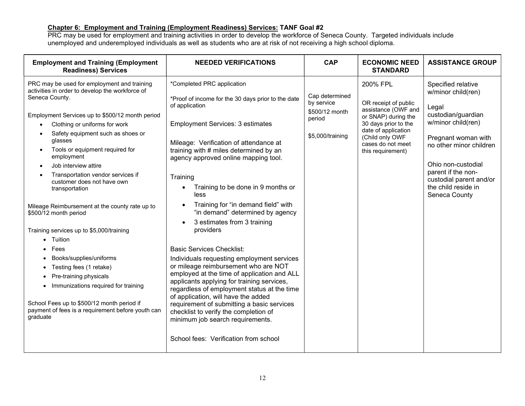#### Chapter 6: Employment and Training (Employment Readiness) Services: TANF Goal #2

PRC may be used for employment and training activities in order to develop the workforce of Seneca County. Targeted individuals include unemployed and underemployed individuals as well as students who are at risk of not receiving a high school diploma.

| <b>Employment and Training (Employment</b><br><b>Readiness) Services</b>                                                                                                                                                                                                                                                                                                                                           | <b>NEEDED VERIFICATIONS</b>                                                                                                                                                                                                                                                                                                                                                                                                                                                   | <b>CAP</b>                                                                   | <b>ECONOMIC NEED</b><br><b>STANDARD</b>                                                                                                                                                    | <b>ASSISTANCE GROUP</b>                                                                                                                                                                                                                                        |
|--------------------------------------------------------------------------------------------------------------------------------------------------------------------------------------------------------------------------------------------------------------------------------------------------------------------------------------------------------------------------------------------------------------------|-------------------------------------------------------------------------------------------------------------------------------------------------------------------------------------------------------------------------------------------------------------------------------------------------------------------------------------------------------------------------------------------------------------------------------------------------------------------------------|------------------------------------------------------------------------------|--------------------------------------------------------------------------------------------------------------------------------------------------------------------------------------------|----------------------------------------------------------------------------------------------------------------------------------------------------------------------------------------------------------------------------------------------------------------|
| PRC may be used for employment and training<br>activities in order to develop the workforce of<br>Seneca County.<br>Employment Services up to \$500/12 month period<br>Clothing or uniforms for work<br>Safety equipment such as shoes or<br>glasses<br>Tools or equipment required for<br>employment<br>Job interview attire<br>Transportation vendor services if<br>customer does not have own<br>transportation | *Completed PRC application<br>*Proof of income for the 30 days prior to the date<br>of application<br><b>Employment Services: 3 estimates</b><br>Mileage: Verification of attendance at<br>training with # miles determined by an<br>agency approved online mapping tool.<br>Training<br>Training to be done in 9 months or<br>$\bullet$<br>less                                                                                                                              | Cap determined<br>by service<br>\$500/12 month<br>period<br>\$5,000/training | 200% FPL<br>OR receipt of public<br>assistance (OWF and<br>or SNAP) during the<br>30 days prior to the<br>date of application<br>(Child only OWF<br>cases do not meet<br>this requirement) | Specified relative<br>w/minor child(ren)<br>Legal<br>custodian/guardian<br>w/minor child(ren)<br>Pregnant woman with<br>no other minor children<br>Ohio non-custodial<br>parent if the non-<br>custodial parent and/or<br>the child reside in<br>Seneca County |
| Mileage Reimbursement at the county rate up to<br>\$500/12 month period<br>Training services up to \$5,000/training<br>Tuition<br>$\bullet$                                                                                                                                                                                                                                                                        | Training for "in demand field" with<br>"in demand" determined by agency<br>3 estimates from 3 training<br>providers                                                                                                                                                                                                                                                                                                                                                           |                                                                              |                                                                                                                                                                                            |                                                                                                                                                                                                                                                                |
| Fees<br>Books/supplies/uniforms<br>Testing fees (1 retake)<br>Pre-training physicals<br>Immunizations required for training<br>$\bullet$<br>School Fees up to \$500/12 month period if<br>payment of fees is a requirement before youth can<br>graduate                                                                                                                                                            | <b>Basic Services Checklist:</b><br>Individuals requesting employment services<br>or mileage reimbursement who are NOT<br>employed at the time of application and ALL<br>applicants applying for training services,<br>regardless of employment status at the time<br>of application, will have the added<br>requirement of submitting a basic services<br>checklist to verify the completion of<br>minimum job search requirements.<br>School fees: Verification from school |                                                                              |                                                                                                                                                                                            |                                                                                                                                                                                                                                                                |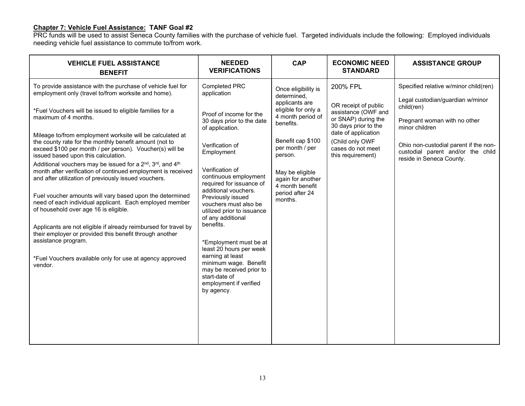#### Chapter 7: Vehicle Fuel Assistance: TANF Goal #2

PRC funds will be used to assist Seneca County families with the purchase of vehicle fuel. Targeted individuals include the following: Employed individuals needing vehicle fuel assistance to commute to/from work.

| <b>VEHICLE FUEL ASSISTANCE</b><br><b>BENEFIT</b>                                                                                                                                                                                                                                                                                                                                                                                                                                                                                                                                                                                                                                                                                                                                                                                                                                                                                                                                                                                                        | <b>NEEDED</b><br><b>VERIFICATIONS</b>                                                                                                                                                                                                                                                                                                                                                                                                                                                                                                         | <b>CAP</b>                                                                                                                                                                                                                                                | <b>ECONOMIC NEED</b><br><b>STANDARD</b>                                                                                                                                                    | <b>ASSISTANCE GROUP</b>                                                                                                                                                                                                                             |
|---------------------------------------------------------------------------------------------------------------------------------------------------------------------------------------------------------------------------------------------------------------------------------------------------------------------------------------------------------------------------------------------------------------------------------------------------------------------------------------------------------------------------------------------------------------------------------------------------------------------------------------------------------------------------------------------------------------------------------------------------------------------------------------------------------------------------------------------------------------------------------------------------------------------------------------------------------------------------------------------------------------------------------------------------------|-----------------------------------------------------------------------------------------------------------------------------------------------------------------------------------------------------------------------------------------------------------------------------------------------------------------------------------------------------------------------------------------------------------------------------------------------------------------------------------------------------------------------------------------------|-----------------------------------------------------------------------------------------------------------------------------------------------------------------------------------------------------------------------------------------------------------|--------------------------------------------------------------------------------------------------------------------------------------------------------------------------------------------|-----------------------------------------------------------------------------------------------------------------------------------------------------------------------------------------------------------------------------------------------------|
| To provide assistance with the purchase of vehicle fuel for<br>employment only (travel to/from worksite and home).<br>*Fuel Vouchers will be issued to eligible families for a<br>maximum of 4 months.<br>Mileage to/from employment worksite will be calculated at<br>the county rate for the monthly benefit amount (not to<br>exceed \$100 per month / per person). Voucher(s) will be<br>issued based upon this calculation.<br>Additional vouchers may be issued for a 2 <sup>nd</sup> , 3 <sup>rd</sup> , and 4 <sup>th</sup><br>month after verification of continued employment is received<br>and after utilization of previously issued vouchers.<br>Fuel voucher amounts will vary based upon the determined<br>need of each individual applicant. Each employed member<br>of household over age 16 is eligible.<br>Applicants are not eligible if already reimbursed for travel by<br>their employer or provided this benefit through another<br>assistance program.<br>*Fuel Vouchers available only for use at agency approved<br>vendor. | Completed PRC<br>application<br>Proof of income for the<br>30 days prior to the date<br>of application.<br>Verification of<br>Employment<br>Verification of<br>continuous employment<br>required for issuance of<br>additional vouchers.<br>Previously issued<br>vouchers must also be<br>utilized prior to issuance<br>of any additional<br>benefits.<br>*Employment must be at<br>least 20 hours per week<br>earning at least<br>minimum wage. Benefit<br>may be received prior to<br>start-date of<br>employment if verified<br>by agency. | Once eligibility is<br>determined,<br>applicants are<br>eligible for only a<br>4 month period of<br>benefits.<br>Benefit cap \$100<br>per month / per<br>person.<br>May be eligible<br>again for another<br>4 month benefit<br>period after 24<br>months. | 200% FPL<br>OR receipt of public<br>assistance (OWF and<br>or SNAP) during the<br>30 days prior to the<br>date of application<br>(Child only OWF<br>cases do not meet<br>this requirement) | Specified relative w/minor child(ren)<br>Legal custodian/guardian w/minor<br>child(ren)<br>Pregnant woman with no other<br>minor children<br>Ohio non-custodial parent if the non-<br>custodial parent and/or the child<br>reside in Seneca County. |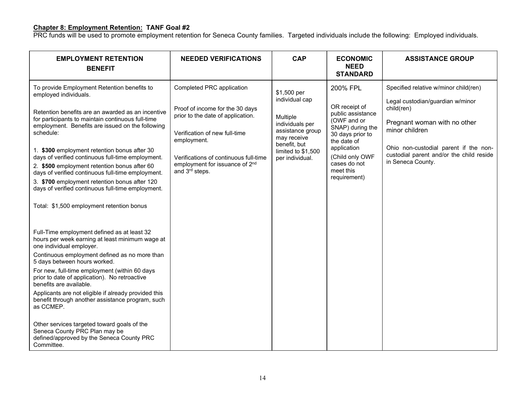#### Chapter 8: Employment Retention: TANF Goal #2

PRC funds will be used to promote employment retention for Seneca County families. Targeted individuals include the following: Employed individuals.

| <b>EMPLOYMENT RETENTION</b><br><b>BENEFIT</b>                                                                                                                                                                                                                                                                                                                                                                                                                                                                                                                                                                                                               | <b>NEEDED VERIFICATIONS</b>                                                                                                                                                                                                                                | <b>CAP</b>                                                                                                                                               | <b>ECONOMIC</b><br><b>NEED</b><br><b>STANDARD</b>                                                                                                                                                   | <b>ASSISTANCE GROUP</b>                                                                                                                                                                                                                             |
|-------------------------------------------------------------------------------------------------------------------------------------------------------------------------------------------------------------------------------------------------------------------------------------------------------------------------------------------------------------------------------------------------------------------------------------------------------------------------------------------------------------------------------------------------------------------------------------------------------------------------------------------------------------|------------------------------------------------------------------------------------------------------------------------------------------------------------------------------------------------------------------------------------------------------------|----------------------------------------------------------------------------------------------------------------------------------------------------------|-----------------------------------------------------------------------------------------------------------------------------------------------------------------------------------------------------|-----------------------------------------------------------------------------------------------------------------------------------------------------------------------------------------------------------------------------------------------------|
| To provide Employment Retention benefits to<br>employed individuals.<br>Retention benefits are an awarded as an incentive<br>for participants to maintain continuous full-time<br>employment. Benefits are issued on the following<br>schedule:<br>1. \$300 employment retention bonus after 30<br>days of verified continuous full-time employment.<br>2. \$500 employment retention bonus after 60<br>days of verified continuous full-time employment.<br>3. \$700 employment retention bonus after 120<br>days of verified continuous full-time employment.<br>Total: \$1,500 employment retention bonus<br>Full-Time employment defined as at least 32 | Completed PRC application<br>Proof of income for the 30 days<br>prior to the date of application.<br>Verification of new full-time<br>employment.<br>Verifications of continuous full-time<br>employment for issuance of 2 <sup>nd</sup><br>and 3rd steps. | \$1,500 per<br>individual cap<br>Multiple<br>individuals per<br>assistance group<br>may receive<br>benefit, but<br>limited to \$1,500<br>per individual. | 200% FPL<br>OR receipt of<br>public assistance<br>(OWF and or<br>SNAP) during the<br>30 days prior to<br>the date of<br>application<br>(Child only OWF<br>cases do not<br>meet this<br>requirement) | Specified relative w/minor child(ren)<br>Legal custodian/guardian w/minor<br>child(ren)<br>Pregnant woman with no other<br>minor children<br>Ohio non-custodial parent if the non-<br>custodial parent and/or the child reside<br>in Seneca County. |
| hours per week earning at least minimum wage at<br>one individual employer.<br>Continuous employment defined as no more than<br>5 days between hours worked.<br>For new, full-time employment (within 60 days<br>prior to date of application). No retroactive<br>benefits are available.<br>Applicants are not eligible if already provided this<br>benefit through another assistance program, such<br>as CCMEP.<br>Other services targeted toward goals of the<br>Seneca County PRC Plan may be<br>defined/approved by the Seneca County PRC<br>Committee.                                                                                               |                                                                                                                                                                                                                                                            |                                                                                                                                                          |                                                                                                                                                                                                     |                                                                                                                                                                                                                                                     |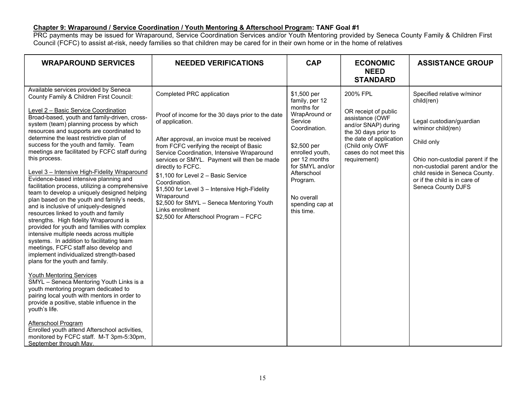#### Chapter 9: Wraparound / Service Coordination / Youth Mentoring & Afterschool Program: TANF Goal #1

PRC payments may be issued for Wraparound, Service Coordination Services and/or Youth Mentoring provided by Seneca County Family & Children First Council (FCFC) to assist at-risk, needy families so that children may be cared for in their own home or in the home of relatives

| <b>WRAPAROUND SERVICES</b>                                                                                                                                                                                                                                                                                                                                                                                                                                                                                                                                                                                                                                                                                                                                                                                                                                                                                                                                                                                                                                                                                                                                                                                                                                                                                                                                                                                                                        | <b>NEEDED VERIFICATIONS</b>                                                                                                                                                                                                                                                                                                                                                                                                                                                                                                                      | <b>CAP</b>                                                                                                                                                                                                                                | <b>ECONOMIC</b><br><b>NEED</b><br><b>STANDARD</b>                                                                                                                                          | <b>ASSISTANCE GROUP</b>                                                                                                                                                                                                                                                  |
|---------------------------------------------------------------------------------------------------------------------------------------------------------------------------------------------------------------------------------------------------------------------------------------------------------------------------------------------------------------------------------------------------------------------------------------------------------------------------------------------------------------------------------------------------------------------------------------------------------------------------------------------------------------------------------------------------------------------------------------------------------------------------------------------------------------------------------------------------------------------------------------------------------------------------------------------------------------------------------------------------------------------------------------------------------------------------------------------------------------------------------------------------------------------------------------------------------------------------------------------------------------------------------------------------------------------------------------------------------------------------------------------------------------------------------------------------|--------------------------------------------------------------------------------------------------------------------------------------------------------------------------------------------------------------------------------------------------------------------------------------------------------------------------------------------------------------------------------------------------------------------------------------------------------------------------------------------------------------------------------------------------|-------------------------------------------------------------------------------------------------------------------------------------------------------------------------------------------------------------------------------------------|--------------------------------------------------------------------------------------------------------------------------------------------------------------------------------------------|--------------------------------------------------------------------------------------------------------------------------------------------------------------------------------------------------------------------------------------------------------------------------|
| Available services provided by Seneca<br>County Family & Children First Council:<br>Level 2 - Basic Service Coordination<br>Broad-based, youth and family-driven, cross-<br>system (team) planning process by which<br>resources and supports are coordinated to<br>determine the least restrictive plan of<br>success for the youth and family. Team<br>meetings are facilitated by FCFC staff during<br>this process.<br>Level 3 - Intensive High-Fidelity Wraparound<br>Evidence-based intensive planning and<br>facilitation process, utilizing a comprehensive<br>team to develop a uniquely designed helping<br>plan based on the youth and family's needs,<br>and is inclusive of uniquely-designed<br>resources linked to youth and family<br>strengths. High fidelity Wraparound is<br>provided for youth and families with complex<br>intensive multiple needs across multiple<br>systems. In addition to facilitating team<br>meetings, FCFC staff also develop and<br>implement individualized strength-based<br>plans for the youth and family.<br><b>Youth Mentoring Services</b><br>SMYL - Seneca Mentoring Youth Links is a<br>youth mentoring program dedicated to<br>pairing local youth with mentors in order to<br>provide a positive, stable influence in the<br>youth's life.<br>Afterschool Program<br>Enrolled youth attend Afterschool activities,<br>monitored by FCFC staff. M-T 3pm-5:30pm,<br>September through May. | Completed PRC application<br>Proof of income for the 30 days prior to the date<br>of application.<br>After approval, an invoice must be received<br>from FCFC verifying the receipt of Basic<br>Service Coordination, Intensive Wraparound<br>services or SMYL. Payment will then be made<br>directly to FCFC.<br>\$1,100 for Level 2 - Basic Service<br>Coordination.<br>\$1,500 for Level 3 - Intensive High-Fidelity<br>Wraparound<br>\$2,500 for SMYL - Seneca Mentoring Youth<br>Links enrollment<br>\$2,500 for Afterschool Program - FCFC | \$1,500 per<br>family, per 12<br>months for<br>WrapAround or<br>Service<br>Coordination.<br>$$2,500$ per<br>enrolled youth,<br>per 12 months<br>for SMYL and/or<br>Afterschool<br>Program.<br>No overall<br>spending cap at<br>this time. | 200% FPL<br>OR receipt of public<br>assistance (OWF<br>and/or SNAP) during<br>the 30 days prior to<br>the date of application<br>(Child only OWF<br>cases do not meet this<br>requirement) | Specified relative w/minor<br>child(ren)<br>Legal custodian/guardian<br>w/minor child(ren)<br>Child only<br>Ohio non-custodial parent if the<br>non-custodial parent and/or the<br>child reside in Seneca County.<br>or if the child is in care of<br>Seneca County DJFS |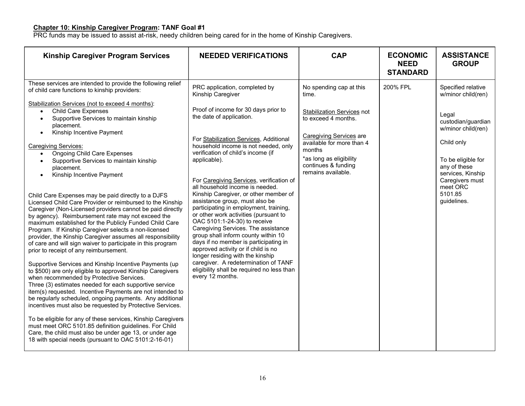#### Chapter 10: Kinship Caregiver Program: TANF Goal #1

PRC funds may be issued to assist at-risk, needy children being cared for in the home of Kinship Caregivers.

| <b>Kinship Caregiver Program Services</b>                                                                                                                                                                                                                                                                                                                                                                                                                                                                                                                                                                                                                                                                                                                                                                                                                                                                                                                                                                                                                                                                                                                                                                                                                                                                                                                                                                                                                                                                                          | <b>NEEDED VERIFICATIONS</b>                                                                                                                                                                                                                                                                                                                                                                                                                                                                                                                                                                                                                                                                                                                                                                                                                             | <b>CAP</b>                                                                                                                                                                                                                                    | <b>ECONOMIC</b><br><b>NEED</b><br><b>STANDARD</b> | <b>ASSISTANCE</b><br><b>GROUP</b>                                                                                                                                                                                               |
|------------------------------------------------------------------------------------------------------------------------------------------------------------------------------------------------------------------------------------------------------------------------------------------------------------------------------------------------------------------------------------------------------------------------------------------------------------------------------------------------------------------------------------------------------------------------------------------------------------------------------------------------------------------------------------------------------------------------------------------------------------------------------------------------------------------------------------------------------------------------------------------------------------------------------------------------------------------------------------------------------------------------------------------------------------------------------------------------------------------------------------------------------------------------------------------------------------------------------------------------------------------------------------------------------------------------------------------------------------------------------------------------------------------------------------------------------------------------------------------------------------------------------------|---------------------------------------------------------------------------------------------------------------------------------------------------------------------------------------------------------------------------------------------------------------------------------------------------------------------------------------------------------------------------------------------------------------------------------------------------------------------------------------------------------------------------------------------------------------------------------------------------------------------------------------------------------------------------------------------------------------------------------------------------------------------------------------------------------------------------------------------------------|-----------------------------------------------------------------------------------------------------------------------------------------------------------------------------------------------------------------------------------------------|---------------------------------------------------|---------------------------------------------------------------------------------------------------------------------------------------------------------------------------------------------------------------------------------|
| These services are intended to provide the following relief<br>of child care functions to kinship providers:<br>Stabilization Services (not to exceed 4 months):<br><b>Child Care Expenses</b><br>$\bullet$<br>Supportive Services to maintain kinship<br>$\bullet$<br>placement.<br>Kinship Incentive Payment<br>$\bullet$<br><b>Caregiving Services:</b><br><b>Ongoing Child Care Expenses</b><br>Supportive Services to maintain kinship<br>$\bullet$<br>placement.<br>Kinship Incentive Payment<br>$\bullet$<br>Child Care Expenses may be paid directly to a DJFS<br>Licensed Child Care Provider or reimbursed to the Kinship<br>Caregiver (Non-Licensed providers cannot be paid directly<br>by agency). Reimbursement rate may not exceed the<br>maximum established for the Publicly Funded Child Care<br>Program. If Kinship Caregiver selects a non-licensed<br>provider, the Kinship Caregiver assumes all responsibility<br>of care and will sign waiver to participate in this program<br>prior to receipt of any reimbursement.<br>Supportive Services and Kinship Incentive Payments (up<br>to \$500) are only eligible to approved Kinship Caregivers<br>when recommended by Protective Services.<br>Three (3) estimates needed for each supportive service<br>item(s) requested. Incentive Payments are not intended to<br>be regularly scheduled, ongoing payments. Any additional<br>incentives must also be requested by Protective Services.<br>To be eligible for any of these services, Kinship Caregivers | PRC application, completed by<br>Kinship Caregiver<br>Proof of income for 30 days prior to<br>the date of application.<br>For Stabilization Services, Additional<br>household income is not needed, only<br>verification of child's income (if<br>applicable).<br>For Caregiving Services, verification of<br>all household income is needed.<br>Kinship Caregiver, or other member of<br>assistance group, must also be<br>participating in employment, training,<br>or other work activities (pursuant to<br>OAC 5101:1-24-30) to receive<br>Caregiving Services. The assistance<br>group shall inform county within 10<br>days if no member is participating in<br>approved activity or if child is no<br>longer residing with the kinship<br>caregiver. A redetermination of TANF<br>eligibility shall be required no less than<br>every 12 months. | No spending cap at this<br>time.<br><b>Stabilization Services not</b><br>to exceed 4 months.<br><b>Caregiving Services</b> are<br>available for more than 4<br>months<br>*as long as eligibility<br>continues & funding<br>remains available. | 200% FPL                                          | Specified relative<br>w/minor child(ren)<br>Legal<br>custodian/guardian<br>w/minor child(ren)<br>Child only<br>To be eligible for<br>any of these<br>services, Kinship<br>Caregivers must<br>meet ORC<br>5101.85<br>guidelines. |
| must meet ORC 5101.85 definition guidelines. For Child<br>Care, the child must also be under age 13, or under age<br>18 with special needs (pursuant to OAC 5101:2-16-01)                                                                                                                                                                                                                                                                                                                                                                                                                                                                                                                                                                                                                                                                                                                                                                                                                                                                                                                                                                                                                                                                                                                                                                                                                                                                                                                                                          |                                                                                                                                                                                                                                                                                                                                                                                                                                                                                                                                                                                                                                                                                                                                                                                                                                                         |                                                                                                                                                                                                                                               |                                                   |                                                                                                                                                                                                                                 |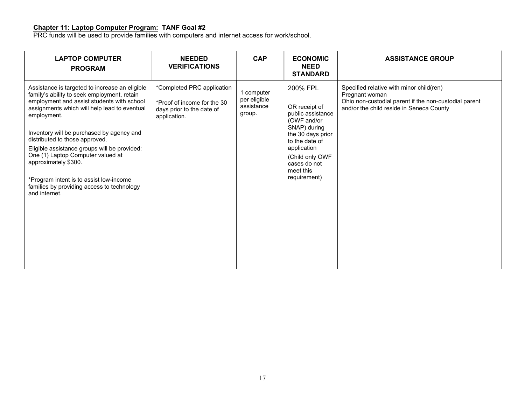#### Chapter 11: Laptop Computer Program: TANF Goal #2

PRC funds will be used to provide families with computers and internet access for work/school.

| <b>LAPTOP COMPUTER</b><br><b>PROGRAM</b>                                                                                                                                                                                                                                                                                                                                                                                                                                                                         | <b>NEEDED</b><br><b>VERIFICATIONS</b>                                                                  | <b>CAP</b>                                         | <b>ECONOMIC</b><br><b>NEED</b><br><b>STANDARD</b>                                                                                                                                                   | <b>ASSISTANCE GROUP</b>                                                                                                                                         |
|------------------------------------------------------------------------------------------------------------------------------------------------------------------------------------------------------------------------------------------------------------------------------------------------------------------------------------------------------------------------------------------------------------------------------------------------------------------------------------------------------------------|--------------------------------------------------------------------------------------------------------|----------------------------------------------------|-----------------------------------------------------------------------------------------------------------------------------------------------------------------------------------------------------|-----------------------------------------------------------------------------------------------------------------------------------------------------------------|
| Assistance is targeted to increase an eligible<br>family's ability to seek employment, retain<br>employment and assist students with school<br>assignments which will help lead to eventual<br>employment.<br>Inventory will be purchased by agency and<br>distributed to those approved.<br>Eligible assistance groups will be provided:<br>One (1) Laptop Computer valued at<br>approximately \$300.<br>*Program intent is to assist low-income<br>families by providing access to technology<br>and internet. | *Completed PRC application<br>*Proof of income for the 30<br>days prior to the date of<br>application. | 1 computer<br>per eligible<br>assistance<br>group. | 200% FPL<br>OR receipt of<br>public assistance<br>(OWF and/or<br>SNAP) during<br>the 30 days prior<br>to the date of<br>application<br>(Child only OWF<br>cases do not<br>meet this<br>requirement) | Specified relative with minor child(ren)<br>Pregnant woman<br>Ohio non-custodial parent if the non-custodial parent<br>and/or the child reside in Seneca County |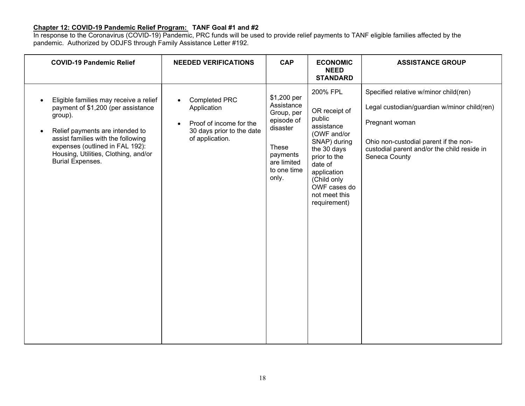### Chapter 12: COVID-19 Pandemic Relief Program: TANF Goal #1 and #2

In response to the Coronavirus (COVID-19) Pandemic, PRC funds will be used to provide relief payments to TANF eligible families affected by the pandemic. Authorized by ODJFS through Family Assistance Letter #192.

| <b>COVID-19 Pandemic Relief</b>                                                                                                                                                                                                                                        | <b>NEEDED VERIFICATIONS</b>                                                                                                              | <b>CAP</b>                                                                                                                    | <b>ECONOMIC</b><br><b>NEED</b><br><b>STANDARD</b>                                                                                                                                                         | <b>ASSISTANCE GROUP</b>                                                                                                                                                                                         |
|------------------------------------------------------------------------------------------------------------------------------------------------------------------------------------------------------------------------------------------------------------------------|------------------------------------------------------------------------------------------------------------------------------------------|-------------------------------------------------------------------------------------------------------------------------------|-----------------------------------------------------------------------------------------------------------------------------------------------------------------------------------------------------------|-----------------------------------------------------------------------------------------------------------------------------------------------------------------------------------------------------------------|
| Eligible families may receive a relief<br>payment of \$1,200 (per assistance<br>group).<br>Relief payments are intended to<br>assist families with the following<br>expenses (outlined in FAL 192):<br>Housing, Utilities, Clothing, and/or<br><b>Burial Expenses.</b> | <b>Completed PRC</b><br>$\bullet$<br>Application<br>Proof of income for the<br>$\bullet$<br>30 days prior to the date<br>of application. | \$1,200 per<br>Assistance<br>Group, per<br>episode of<br>disaster<br>These<br>payments<br>are limited<br>to one time<br>only. | 200% FPL<br>OR receipt of<br>public<br>assistance<br>(OWF and/or<br>SNAP) during<br>the 30 days<br>prior to the<br>date of<br>application<br>(Child only<br>OWF cases do<br>not meet this<br>requirement) | Specified relative w/minor child(ren)<br>Legal custodian/guardian w/minor child(ren)<br>Pregnant woman<br>Ohio non-custodial parent if the non-<br>custodial parent and/or the child reside in<br>Seneca County |